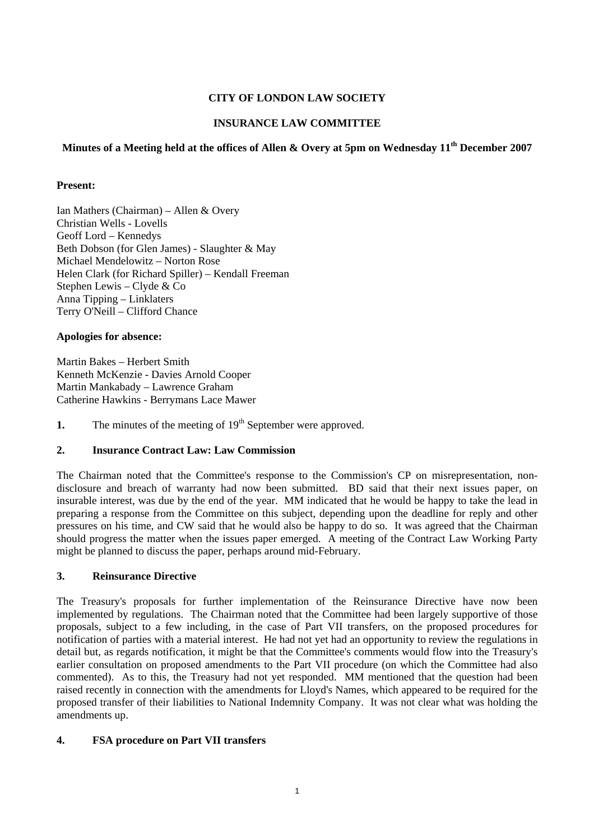# **CITY OF LONDON LAW SOCIETY**

# **INSURANCE LAW COMMITTEE**

# **Minutes of a Meeting held at the offices of Allen & Overy at 5pm on Wednesday 11th December 2007**

### **Present:**

Ian Mathers (Chairman) – Allen & Overy Christian Wells - Lovells Geoff Lord – Kennedys Beth Dobson (for Glen James) - Slaughter & May Michael Mendelowitz – Norton Rose Helen Clark (for Richard Spiller) – Kendall Freeman Stephen Lewis – Clyde & Co Anna Tipping – Linklaters Terry O'Neill – Clifford Chance

#### **Apologies for absence:**

Martin Bakes – Herbert Smith Kenneth McKenzie - Davies Arnold Cooper Martin Mankabady – Lawrence Graham Catherine Hawkins - Berrymans Lace Mawer

**1.** The minutes of the meeting of 19<sup>th</sup> September were approved.

### **2. Insurance Contract Law: Law Commission**

The Chairman noted that the Committee's response to the Commission's CP on misrepresentation, nondisclosure and breach of warranty had now been submitted. BD said that their next issues paper, on insurable interest, was due by the end of the year. MM indicated that he would be happy to take the lead in preparing a response from the Committee on this subject, depending upon the deadline for reply and other pressures on his time, and CW said that he would also be happy to do so. It was agreed that the Chairman should progress the matter when the issues paper emerged. A meeting of the Contract Law Working Party might be planned to discuss the paper, perhaps around mid-February.

# **3. Reinsurance Directive**

The Treasury's proposals for further implementation of the Reinsurance Directive have now been implemented by regulations. The Chairman noted that the Committee had been largely supportive of those proposals, subject to a few including, in the case of Part VII transfers, on the proposed procedures for notification of parties with a material interest. He had not yet had an opportunity to review the regulations in detail but, as regards notification, it might be that the Committee's comments would flow into the Treasury's earlier consultation on proposed amendments to the Part VII procedure (on which the Committee had also commented). As to this, the Treasury had not yet responded. MM mentioned that the question had been raised recently in connection with the amendments for Lloyd's Names, which appeared to be required for the proposed transfer of their liabilities to National Indemnity Company. It was not clear what was holding the amendments up.

### **4. FSA procedure on Part VII transfers**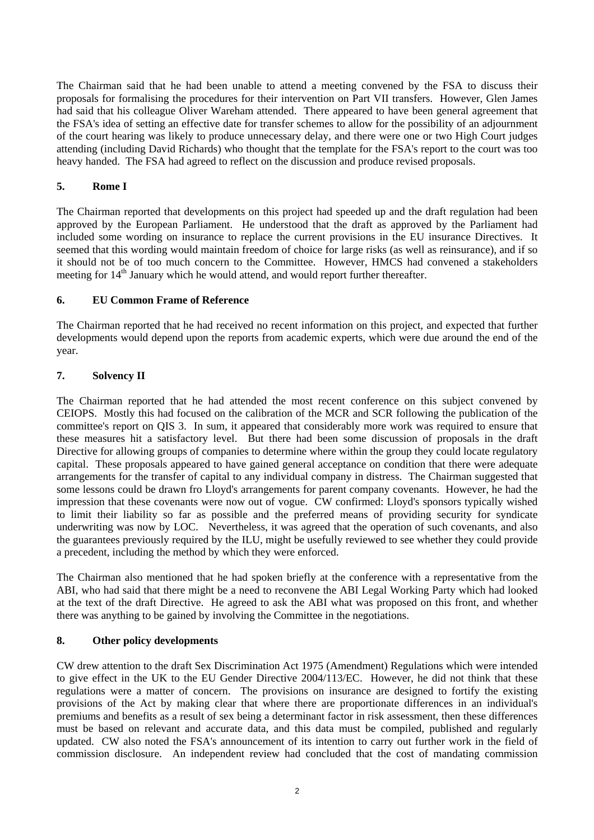The Chairman said that he had been unable to attend a meeting convened by the FSA to discuss their proposals for formalising the procedures for their intervention on Part VII transfers. However, Glen James had said that his colleague Oliver Wareham attended. There appeared to have been general agreement that the FSA's idea of setting an effective date for transfer schemes to allow for the possibility of an adjournment of the court hearing was likely to produce unnecessary delay, and there were one or two High Court judges attending (including David Richards) who thought that the template for the FSA's report to the court was too heavy handed. The FSA had agreed to reflect on the discussion and produce revised proposals.

# **5. Rome I**

The Chairman reported that developments on this project had speeded up and the draft regulation had been approved by the European Parliament. He understood that the draft as approved by the Parliament had included some wording on insurance to replace the current provisions in the EU insurance Directives. It seemed that this wording would maintain freedom of choice for large risks (as well as reinsurance), and if so it should not be of too much concern to the Committee. However, HMCS had convened a stakeholders meeting for 14<sup>th</sup> January which he would attend, and would report further thereafter.

# **6. EU Common Frame of Reference**

The Chairman reported that he had received no recent information on this project, and expected that further developments would depend upon the reports from academic experts, which were due around the end of the year.

# **7. Solvency II**

The Chairman reported that he had attended the most recent conference on this subject convened by CEIOPS. Mostly this had focused on the calibration of the MCR and SCR following the publication of the committee's report on QIS 3. In sum, it appeared that considerably more work was required to ensure that these measures hit a satisfactory level. But there had been some discussion of proposals in the draft Directive for allowing groups of companies to determine where within the group they could locate regulatory capital. These proposals appeared to have gained general acceptance on condition that there were adequate arrangements for the transfer of capital to any individual company in distress. The Chairman suggested that some lessons could be drawn fro Lloyd's arrangements for parent company covenants. However, he had the impression that these covenants were now out of vogue. CW confirmed: Lloyd's sponsors typically wished to limit their liability so far as possible and the preferred means of providing security for syndicate underwriting was now by LOC. Nevertheless, it was agreed that the operation of such covenants, and also the guarantees previously required by the ILU, might be usefully reviewed to see whether they could provide a precedent, including the method by which they were enforced.

The Chairman also mentioned that he had spoken briefly at the conference with a representative from the ABI, who had said that there might be a need to reconvene the ABI Legal Working Party which had looked at the text of the draft Directive. He agreed to ask the ABI what was proposed on this front, and whether there was anything to be gained by involving the Committee in the negotiations.

### **8. Other policy developments**

CW drew attention to the draft Sex Discrimination Act 1975 (Amendment) Regulations which were intended to give effect in the UK to the EU Gender Directive 2004/113/EC. However, he did not think that these regulations were a matter of concern. The provisions on insurance are designed to fortify the existing provisions of the Act by making clear that where there are proportionate differences in an individual's premiums and benefits as a result of sex being a determinant factor in risk assessment, then these differences must be based on relevant and accurate data, and this data must be compiled, published and regularly updated. CW also noted the FSA's announcement of its intention to carry out further work in the field of commission disclosure. An independent review had concluded that the cost of mandating commission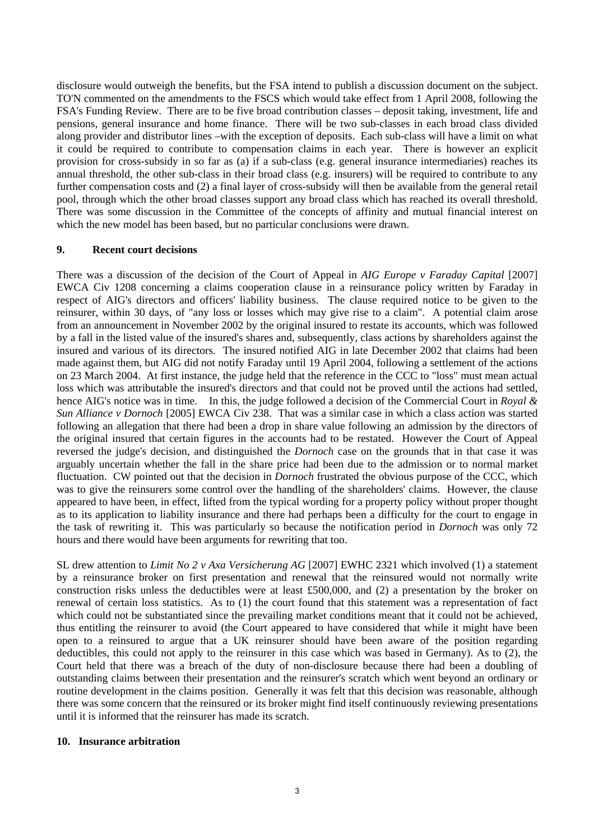disclosure would outweigh the benefits, but the FSA intend to publish a discussion document on the subject. TO'N commented on the amendments to the FSCS which would take effect from 1 April 2008, following the FSA's Funding Review. There are to be five broad contribution classes – deposit taking, investment, life and pensions, general insurance and home finance. There will be two sub-classes in each broad class divided along provider and distributor lines –with the exception of deposits. Each sub-class will have a limit on what it could be required to contribute to compensation claims in each year. There is however an explicit provision for cross-subsidy in so far as (a) if a sub-class (e.g. general insurance intermediaries) reaches its annual threshold, the other sub-class in their broad class (e.g. insurers) will be required to contribute to any further compensation costs and (2) a final layer of cross-subsidy will then be available from the general retail pool, through which the other broad classes support any broad class which has reached its overall threshold. There was some discussion in the Committee of the concepts of affinity and mutual financial interest on which the new model has been based, but no particular conclusions were drawn.

#### **9. Recent court decisions**

There was a discussion of the decision of the Court of Appeal in *AIG Europe v Faraday Capital* [2007] EWCA Civ 1208 concerning a claims cooperation clause in a reinsurance policy written by Faraday in respect of AIG's directors and officers' liability business. The clause required notice to be given to the reinsurer, within 30 days, of "any loss or losses which may give rise to a claim". A potential claim arose from an announcement in November 2002 by the original insured to restate its accounts, which was followed by a fall in the listed value of the insured's shares and, subsequently, class actions by shareholders against the insured and various of its directors. The insured notified AIG in late December 2002 that claims had been made against them, but AIG did not notify Faraday until 19 April 2004, following a settlement of the actions on 23 March 2004. At first instance, the judge held that the reference in the CCC to "loss" must mean actual loss which was attributable the insured's directors and that could not be proved until the actions had settled, hence AIG's notice was in time. In this, the judge followed a decision of the Commercial Court in *Royal & Sun Alliance v Dornoch* [2005] EWCA Civ 238. That was a similar case in which a class action was started following an allegation that there had been a drop in share value following an admission by the directors of the original insured that certain figures in the accounts had to be restated. However the Court of Appeal reversed the judge's decision, and distinguished the *Dornoch* case on the grounds that in that case it was arguably uncertain whether the fall in the share price had been due to the admission or to normal market fluctuation. CW pointed out that the decision in *Dornoch* frustrated the obvious purpose of the CCC, which was to give the reinsurers some control over the handling of the shareholders' claims. However, the clause appeared to have been, in effect, lifted from the typical wording for a property policy without proper thought as to its application to liability insurance and there had perhaps been a difficulty for the court to engage in the task of rewriting it. This was particularly so because the notification period in *Dornoch* was only 72 hours and there would have been arguments for rewriting that too.

SL drew attention to *Limit No 2 v Axa Versicherung AG* [2007] EWHC 2321 which involved (1) a statement by a reinsurance broker on first presentation and renewal that the reinsured would not normally write construction risks unless the deductibles were at least £500,000, and (2) a presentation by the broker on renewal of certain loss statistics. As to (1) the court found that this statement was a representation of fact which could not be substantiated since the prevailing market conditions meant that it could not be achieved, thus entitling the reinsurer to avoid (the Court appeared to have considered that while it might have been open to a reinsured to argue that a UK reinsurer should have been aware of the position regarding deductibles, this could not apply to the reinsurer in this case which was based in Germany). As to (2), the Court held that there was a breach of the duty of non-disclosure because there had been a doubling of outstanding claims between their presentation and the reinsurer's scratch which went beyond an ordinary or routine development in the claims position. Generally it was felt that this decision was reasonable, although there was some concern that the reinsured or its broker might find itself continuously reviewing presentations until it is informed that the reinsurer has made its scratch.

#### **10. Insurance arbitration**